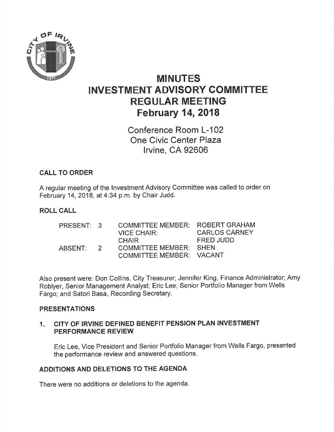

# MINUTES INVESTMENT ADVISORY COMMITTEE REGULAR MEETING February 14,2018

Conference Room L-102 One Civic Center Plaza lrvine, CA 92606

# CALL TO ORDER

A regular meeting of the lnvestment Advisory Committee was called to order on February 14,2018, at 4:34 p.m. by Chair Judd.

# ROLL CALL

| PRESENT: 3 |                | <b>COMMITTEE MEMBER: ROBERT GRAHAM</b> |                      |
|------------|----------------|----------------------------------------|----------------------|
|            |                | VICE CHAIR:                            | <b>CARLOS CARNEY</b> |
|            |                | <b>CHAIR</b>                           | FRED JUDD            |
| ABSENT:    | $\overline{2}$ | <b>COMMITTEE MEMBER: SHEN</b>          |                      |
|            |                | COMMITTEE MEMBER: VACANT               |                      |

Also present were: Don Collins, City Treasurer; Jennifer King, Finance Administrator; Amy Roblyer, Senior Management Analyst; Eric Lee, Senior Portfolio Manager from Wells Fargo; and Satori Basa, Recording Secretary.

#### PRESENTATIONS

#### CITY OF IRVINE DEFINED BENEFIT PENSION PLAN INVESTMENT PERFORMANCE REVIEW  $1.$

Eric Lee, Vice President and Senior Portfolio Manager from Wells Fargo, presented the performance review and answered questions.

# ADDITIONS AND DELETIONS TO THE AGENDA

There were no additions or deletions to the agenda.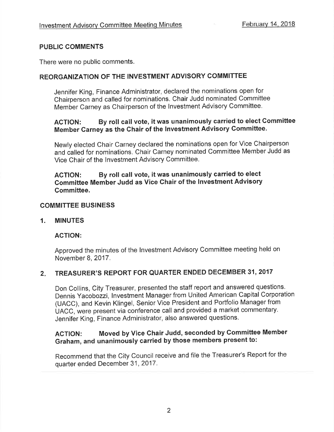#### PUBLIC COMMENTS

There were no public comments.

### REORGANIZATION OF THE INVESTMENT ADVISORY COMMITTEE

Jennifer King, Finance Administrator, declared the nominations open for Chairperson and called for nominations. Chair Judd nominated Committee Member Carney as Chairperson of the lnvestment Advisory Committee'

# ACTION: By roll call vote, it was unanimously carried to elect Gommittee Member Garney as the Chair of the lnvestment Advisory Gommittee.

Newly elected Chair Carney declared the nominations open for Vice Chairperson and called for nominations. Chair Carney nominated Committee Member Judd as Vice Chair of the lnvestment Advisory Committee.

### AGTION: By roll call vote, it was unanimously carried to elect Committee Member Judd as Vice Chair of the lnvestment Advisory Gommittee.

#### COMMITTEE BUSINESS

#### 1. MINUTES

#### ACTION:

Approved the minutes of the lnvestment Advisory Committee meeting held on November 8,2017.

#### TREASURER'S REPORT FOR QUARTER ENDED DECEMBER 31, 2017  $2.$

Don Collins, City Treasurer, presented the staff report and answered questions. Dennis Yacobozzi, lnvestment Manager from United American Capital Corporation (UACC), and Kevin Klingel, Senior Vice President and Portfolio Manager from UACC, were present via conference call and provided a market commentary. Jennifer King, Finance Administrator, also answered questions,

# ACTION: Moved by Vice Chair Judd, seconded by Gommittee Member Graham, and unanimously carried by those members present to:

Recommend that the City Council receive and file the Treasurer's Report for the quarter ended December 31,2017.